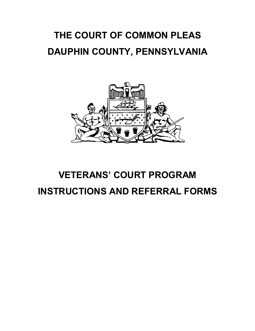# **THE COURT OF COMMON PLEAS DAUPHIN COUNTY, PENNSYLVANIA**



# **VETERANS' COURT PROGRAM INSTRUCTIONS AND REFERRAL FORMS**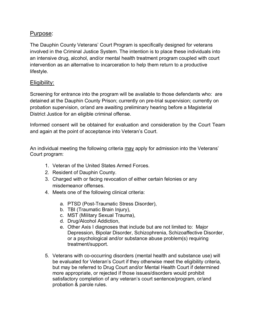#### Purpose:

The Dauphin County Veterans' Court Program is specifically designed for veterans involved in the Criminal Justice System. The intention is to place these individuals into an intensive drug, alcohol, and/or mental health treatment program coupled with court intervention as an alternative to incarceration to help them return to a productive lifestyle.

#### Eligibility:

Screening for entrance into the program will be available to those defendants who: are detained at the Dauphin County Prison; currently on pre-trial supervision; currently on probation supervision, or/and are awaiting preliminary hearing before a Magisterial District Justice for an eligible criminal offense.

Informed consent will be obtained for evaluation and consideration by the Court Team and again at the point of acceptance into Veteran's Court.

An individual meeting the following criteria may apply for admission into the Veterans' Court program:

- 1. Veteran of the United States Armed Forces.
- 2. Resident of Dauphin County.
- 3. Charged with or facing revocation of either certain felonies or any misdemeanor offenses.
- 4. Meets one of the following clinical criteria:
	- a. PTSD (Post-Traumatic Stress Disorder),
	- b. TBI (Traumatic Brain Injury),
	- c. MST (Military Sexual Trauma),
	- d. Drug/Alcohol Addiction,
	- e. Other Axis I diagnoses that include but are not limited to: Major Depression, Bipolar Disorder, Schizophrenia, Schizoaffective Disorder, or a psychological and/or substance abuse problem(s) requiring treatment/support.
- 5. Veterans with co-occurring disorders (mental health and substance use) will be evaluated for Veteran's Court if they otherwise meet the eligibility criteria, but may be referred to Drug Court and/or Mental Health Court if determined more appropriate, or rejected if those issues/disorders would prohibit satisfactory completion of any veteran's court sentence/program, or/and probation & parole rules.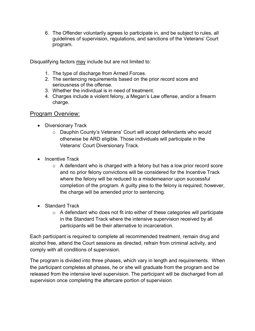6. The Offender voluntarily agrees to participate in, and be subject to rules, all guidelines of supervision, regulations, and sanctions of the Veterans' Court program.

Disqualifying factors may include but are not limited to:

- 1. The type of discharge from Armed Forces.
- 2. The sentencing requirements based on the prior record score and seriousness of the offense.
- 3. Whether the individual is in need of treatment.
- 4. Charges include a violent felony, a Megan's Law offense, and/or a firearm charge.

#### Program Overview:

- Diversionary Track
	- o Dauphin County's Veterans' Court will accept defendants who would otherwise be ARD eligible. Those individuals will participate in the Veterans' Court Diversionary Track.
- Incentive Track
	- $\circ$  A defendant who is charged with a felony but has a low prior record score and no prior felony convictions will be considered for the Incentive Track where the felony will be reduced to a misdemeanor upon successful completion of the program. A guilty plea to the felony is required; however, the charge will be amended prior to sentencing.
- Standard Track
	- $\circ$  A defendant who does not fit into either of these categories will participate in the Standard Track where the intensive supervision received by all participants will be their alternative to incarceration.

Each participant is required to complete all recommended treatment, remain drug and alcohol free, attend the Court sessions as directed, refrain from criminal activity, and comply with all conditions of supervision.

The program is divided into three phases, which vary in length and requirements. When the participant completes all phases, he or she will graduate from the program and be released from the intensive level supervision. The participant will be discharged from all supervision once completing the aftercare portion of supervision.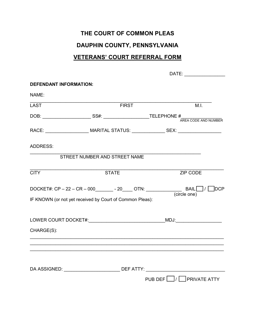## **THE COURT OF COMMON PLEAS**

### **DAUPHIN COUNTY, PENNSYLVANIA**

### **VETERANS' COURT REFERRAL FORM**

|                               |                                                          | DATE: the contract of the contract of the contract of the contract of the contract of the contract of the contract of the contract of the contract of the contract of the contract of the contract of the contract of the cont |
|-------------------------------|----------------------------------------------------------|--------------------------------------------------------------------------------------------------------------------------------------------------------------------------------------------------------------------------------|
| <b>DEFENDANT INFORMATION:</b> |                                                          |                                                                                                                                                                                                                                |
| NAME:                         |                                                          |                                                                                                                                                                                                                                |
| LAST                          | <b>FIRST</b>                                             | M.I.                                                                                                                                                                                                                           |
|                               |                                                          |                                                                                                                                                                                                                                |
|                               |                                                          | RACE: ___________________________MARITAL STATUS: _______________________________                                                                                                                                               |
| <b>ADDRESS:</b>               |                                                          |                                                                                                                                                                                                                                |
|                               | STREET NUMBER AND STREET NAME                            |                                                                                                                                                                                                                                |
| <b>CITY</b>                   | <b>STATE</b>                                             | ZIP CODE                                                                                                                                                                                                                       |
|                               |                                                          | (circle one)                                                                                                                                                                                                                   |
|                               | IF KNOWN (or not yet received by Court of Common Pleas): |                                                                                                                                                                                                                                |
|                               |                                                          |                                                                                                                                                                                                                                |
| CHARGE(S):                    |                                                          |                                                                                                                                                                                                                                |
|                               |                                                          |                                                                                                                                                                                                                                |
|                               |                                                          |                                                                                                                                                                                                                                |
|                               |                                                          | DA ASSIGNED: __________________________________DEF ATTY: ________________________                                                                                                                                              |
|                               |                                                          | PUB DEF   / PRIVATE ATTY                                                                                                                                                                                                       |